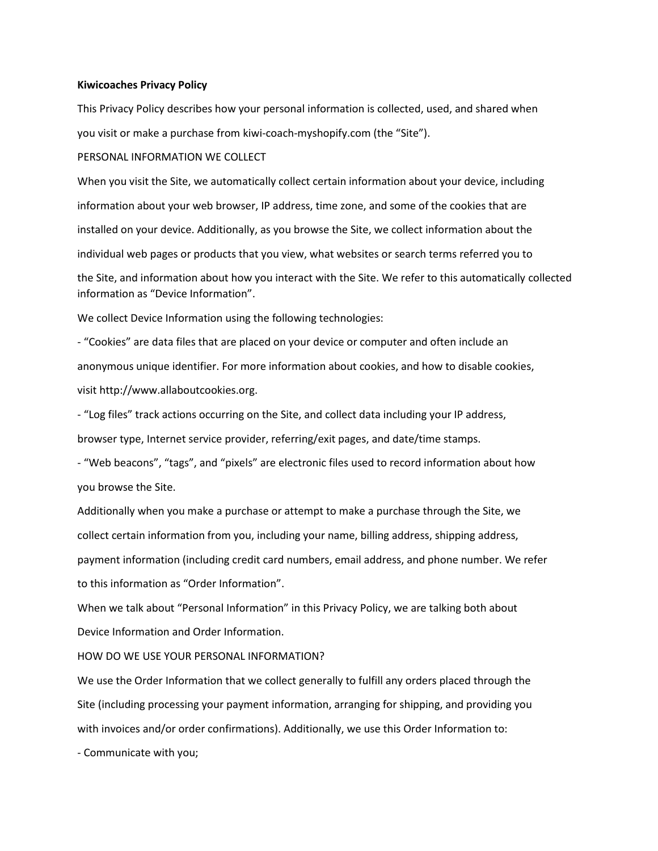#### **Kiwicoaches Privacy Policy**

This Privacy Policy describes how your personal information is collected, used, and shared when you visit or make a purchase from kiwi-coach-myshopify.com (the "Site").

PERSONAL INFORMATION WE COLLECT

When you visit the Site, we automatically collect certain information about your device, including information about your web browser, IP address, time zone, and some of the cookies that are installed on your device. Additionally, as you browse the Site, we collect information about the individual web pages or products that you view, what websites or search terms referred you to the Site, and information about how you interact with the Site. We refer to this automatically collected information as "Device Information".

We collect Device Information using the following technologies:

- "Cookies" are data files that are placed on your device or computer and often include an anonymous unique identifier. For more information about cookies, and how to disable cookies, visit http://www.allaboutcookies.org.

- "Log files" track actions occurring on the Site, and collect data including your IP address,

browser type, Internet service provider, referring/exit pages, and date/time stamps.

- "Web beacons", "tags", and "pixels" are electronic files used to record information about how you browse the Site.

Additionally when you make a purchase or attempt to make a purchase through the Site, we collect certain information from you, including your name, billing address, shipping address, payment information (including credit card numbers, email address, and phone number. We refer to this information as "Order Information".

When we talk about "Personal Information" in this Privacy Policy, we are talking both about Device Information and Order Information.

HOW DO WE USE YOUR PERSONAL INFORMATION?

We use the Order Information that we collect generally to fulfill any orders placed through the Site (including processing your payment information, arranging for shipping, and providing you with invoices and/or order confirmations). Additionally, we use this Order Information to:

- Communicate with you;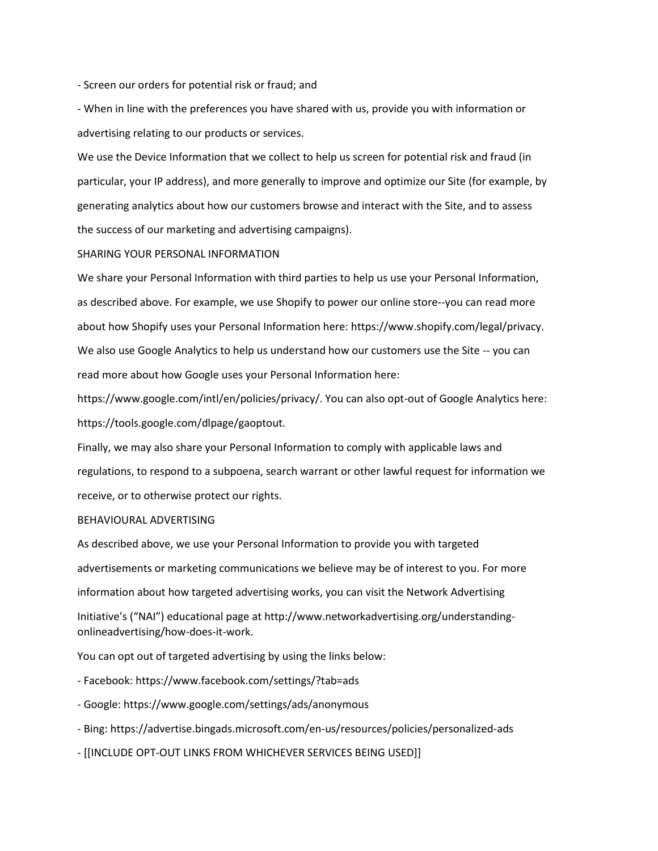- Screen our orders for potential risk or fraud; and

- When in line with the preferences you have shared with us, provide you with information or advertising relating to our products or services.

We use the Device Information that we collect to help us screen for potential risk and fraud (in particular, your IP address), and more generally to improve and optimize our Site (for example, by generating analytics about how our customers browse and interact with the Site, and to assess the success of our marketing and advertising campaigns).

# SHARING YOUR PERSONAL INFORMATION

We share your Personal Information with third parties to help us use your Personal Information, as described above. For example, we use Shopify to power our online store--you can read more about how Shopify uses your Personal Information here: https://www.shopify.com/legal/privacy. We also use Google Analytics to help us understand how our customers use the Site -- you can read more about how Google uses your Personal Information here:

https://www.google.com/intl/en/policies/privacy/. You can also opt-out of Google Analytics here: https://tools.google.com/dlpage/gaoptout.

Finally, we may also share your Personal Information to comply with applicable laws and regulations, to respond to a subpoena, search warrant or other lawful request for information we receive, or to otherwise protect our rights.

# BEHAVIOURAL ADVERTISING

As described above, we use your Personal Information to provide you with targeted advertisements or marketing communications we believe may be of interest to you. For more information about how targeted advertising works, you can visit the Network Advertising

Initiative's ("NAI") educational page at http://www.networkadvertising.org/understandingonlineadvertising/how-does-it-work.

You can opt out of targeted advertising by using the links below:

- Facebook: https://www.facebook.com/settings/?tab=ads
- Google: https://www.google.com/settings/ads/anonymous
- Bing: https://advertise.bingads.microsoft.com/en-us/resources/policies/personalized-ads
- [[INCLUDE OPT-OUT LINKS FROM WHICHEVER SERVICES BEING USED]]